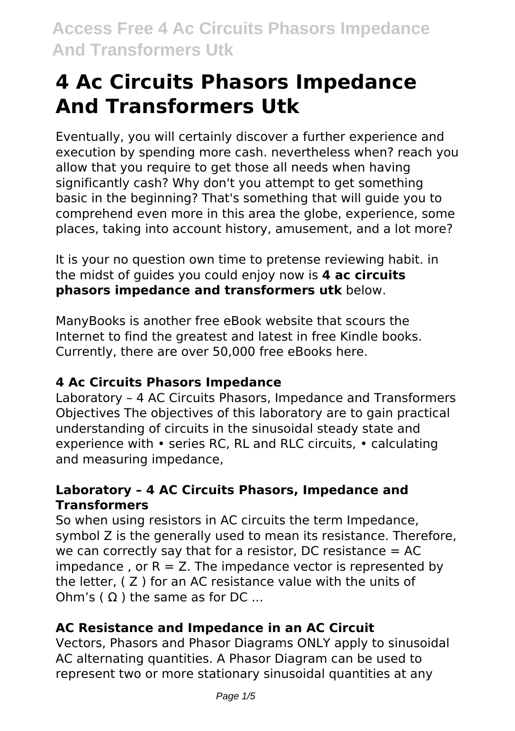# **4 Ac Circuits Phasors Impedance And Transformers Utk**

Eventually, you will certainly discover a further experience and execution by spending more cash. nevertheless when? reach you allow that you require to get those all needs when having significantly cash? Why don't you attempt to get something basic in the beginning? That's something that will guide you to comprehend even more in this area the globe, experience, some places, taking into account history, amusement, and a lot more?

It is your no question own time to pretense reviewing habit. in the midst of guides you could enjoy now is **4 ac circuits phasors impedance and transformers utk** below.

ManyBooks is another free eBook website that scours the Internet to find the greatest and latest in free Kindle books. Currently, there are over 50,000 free eBooks here.

# **4 Ac Circuits Phasors Impedance**

Laboratory – 4 AC Circuits Phasors, Impedance and Transformers Objectives The objectives of this laboratory are to gain practical understanding of circuits in the sinusoidal steady state and experience with • series RC, RL and RLC circuits, • calculating and measuring impedance,

### **Laboratory – 4 AC Circuits Phasors, Impedance and Transformers**

So when using resistors in AC circuits the term Impedance, symbol Z is the generally used to mean its resistance. Therefore, we can correctly say that for a resistor, DC resistance  $= AC$ impedance, or  $R = Z$ . The impedance vector is represented by the letter, ( Z ) for an AC resistance value with the units of Ohm's  $( \Omega )$  the same as for DC ...

# **AC Resistance and Impedance in an AC Circuit**

Vectors, Phasors and Phasor Diagrams ONLY apply to sinusoidal AC alternating quantities. A Phasor Diagram can be used to represent two or more stationary sinusoidal quantities at any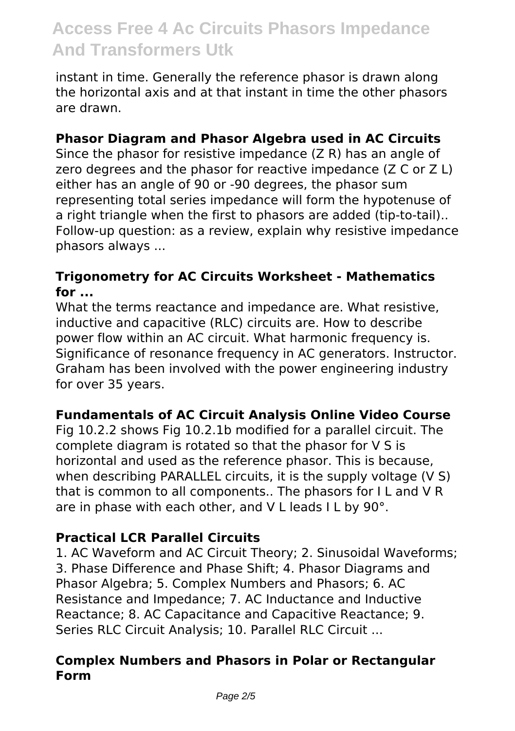instant in time. Generally the reference phasor is drawn along the horizontal axis and at that instant in time the other phasors are drawn.

### **Phasor Diagram and Phasor Algebra used in AC Circuits**

Since the phasor for resistive impedance (Z R) has an angle of zero degrees and the phasor for reactive impedance (Z C or Z L) either has an angle of 90 or -90 degrees, the phasor sum representing total series impedance will form the hypotenuse of a right triangle when the first to phasors are added (tip-to-tail).. Follow-up question: as a review, explain why resistive impedance phasors always ...

#### **Trigonometry for AC Circuits Worksheet - Mathematics for ...**

What the terms reactance and impedance are. What resistive, inductive and capacitive (RLC) circuits are. How to describe power flow within an AC circuit. What harmonic frequency is. Significance of resonance frequency in AC generators. Instructor. Graham has been involved with the power engineering industry for over 35 years.

# **Fundamentals of AC Circuit Analysis Online Video Course**

Fig 10.2.2 shows Fig 10.2.1b modified for a parallel circuit. The complete diagram is rotated so that the phasor for V S is horizontal and used as the reference phasor. This is because, when describing PARALLEL circuits, it is the supply voltage (V S) that is common to all components.. The phasors for I L and V R are in phase with each other, and V L leads I L by 90°.

# **Practical LCR Parallel Circuits**

1. AC Waveform and AC Circuit Theory; 2. Sinusoidal Waveforms; 3. Phase Difference and Phase Shift; 4. Phasor Diagrams and Phasor Algebra; 5. Complex Numbers and Phasors; 6. AC Resistance and Impedance; 7. AC Inductance and Inductive Reactance; 8. AC Capacitance and Capacitive Reactance; 9. Series RLC Circuit Analysis; 10. Parallel RLC Circuit ...

### **Complex Numbers and Phasors in Polar or Rectangular Form**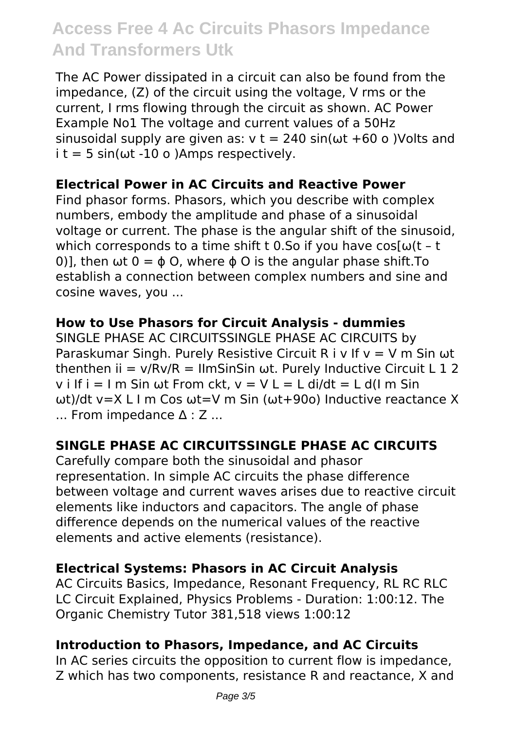The AC Power dissipated in a circuit can also be found from the impedance, (Z) of the circuit using the voltage, V rms or the current, I rms flowing through the circuit as shown. AC Power Example No1 The voltage and current values of a 50Hz sinusoidal supply are given as:  $v = 240 \sin(\omega t + 60 \text{ o})$  Volts and  $i$  t = 5 sin( $\omega$ t -10 o )Amps respectively.

### **Electrical Power in AC Circuits and Reactive Power**

Find phasor forms. Phasors, which you describe with complex numbers, embody the amplitude and phase of a sinusoidal voltage or current. The phase is the angular shift of the sinusoid, which corresponds to a time shift t 0.So if you have  $cos[\omega(t - t)]$ 0)], then  $\omega t$  0 =  $\phi$  O, where  $\phi$  O is the angular phase shift. To establish a connection between complex numbers and sine and cosine waves, you ...

### **How to Use Phasors for Circuit Analysis - dummies**

SINGLE PHASE AC CIRCUITSSINGLE PHASE AC CIRCUITS by Paraskumar Singh. Purely Resistive Circuit R i v If  $v = V$  m Sin  $\omega t$ thenthen  $ii = v/Rv/R = IlmSinSin \omega t$ . Purely Inductive Circuit L 1 2 v i If  $i = 1$  m Sin ωt From ckt,  $v = V L = L$  di/dt = L d(I m Sin ωt)/dt v=X L I m Cos ωt=V m Sin (ωt+90o) Inductive reactance X ... From impedance ∆ : Z ...

# **SINGLE PHASE AC CIRCUITSSINGLE PHASE AC CIRCUITS**

Carefully compare both the sinusoidal and phasor representation. In simple AC circuits the phase difference between voltage and current waves arises due to reactive circuit elements like inductors and capacitors. The angle of phase difference depends on the numerical values of the reactive elements and active elements (resistance).

#### **Electrical Systems: Phasors in AC Circuit Analysis**

AC Circuits Basics, Impedance, Resonant Frequency, RL RC RLC LC Circuit Explained, Physics Problems - Duration: 1:00:12. The Organic Chemistry Tutor 381,518 views 1:00:12

#### **Introduction to Phasors, Impedance, and AC Circuits**

In AC series circuits the opposition to current flow is impedance, Z which has two components, resistance R and reactance, X and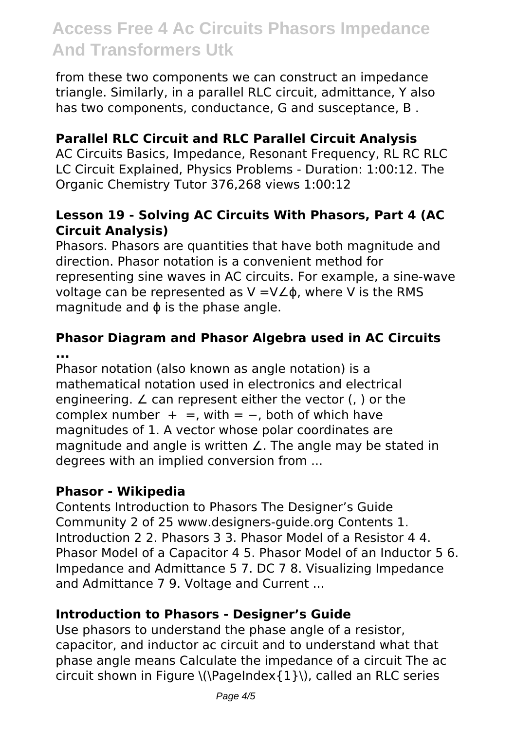from these two components we can construct an impedance triangle. Similarly, in a parallel RLC circuit, admittance, Y also has two components, conductance, G and susceptance, B .

# **Parallel RLC Circuit and RLC Parallel Circuit Analysis**

AC Circuits Basics, Impedance, Resonant Frequency, RL RC RLC LC Circuit Explained, Physics Problems - Duration: 1:00:12. The Organic Chemistry Tutor 376,268 views 1:00:12

#### **Lesson 19 - Solving AC Circuits With Phasors, Part 4 (AC Circuit Analysis)**

Phasors. Phasors are quantities that have both magnitude and direction. Phasor notation is a convenient method for representing sine waves in AC circuits. For example, a sine-wave voltage can be represented as V =V∠ϕ, where V is the RMS magnitude and  $\phi$  is the phase angle.

### **Phasor Diagram and Phasor Algebra used in AC Circuits ...**

Phasor notation (also known as angle notation) is a mathematical notation used in electronics and electrical engineering. ∠ can represent either the vector (, ) or the complex number  $+ =$ , with  $= -$ , both of which have magnitudes of 1. A vector whose polar coordinates are magnitude and angle is written ∠. The angle may be stated in degrees with an implied conversion from ...

#### **Phasor - Wikipedia**

Contents Introduction to Phasors The Designer's Guide Community 2 of 25 www.designers-guide.org Contents 1. Introduction 2 2. Phasors 3 3. Phasor Model of a Resistor 4 4. Phasor Model of a Capacitor 4 5. Phasor Model of an Inductor 5 6. Impedance and Admittance 5 7. DC 7 8. Visualizing Impedance and Admittance 7 9. Voltage and Current ...

#### **Introduction to Phasors - Designer's Guide**

Use phasors to understand the phase angle of a resistor, capacitor, and inductor ac circuit and to understand what that phase angle means Calculate the impedance of a circuit The ac circuit shown in Figure \(\PageIndex{1}\), called an RLC series